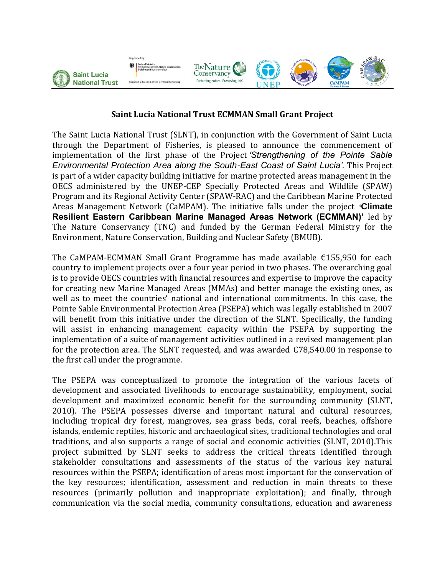

## **Saint Lucia National Trust ECMMAN Small Grant Project**

The Saint Lucia National Trust (SLNT), in conjunction with the Government of Saint Lucia through the Department of Fisheries, is pleased to announce the commencement of implementation of the first phase of the Project *'Strengthening of the Pointe Sable Environmental Protection Area along the South-East Coast of Saint Lucia'.* This Project is part of a wider capacity building initiative for marine protected areas management in the OECS administered by the UNEP-CEP Specially Protected Areas and Wildlife (SPAW) Program and its Regional Activity Center (SPAW-RAC) and the Caribbean Marine Protected Areas Management Network (CaMPAM). The initiative falls under the project *'***Climate Resilient Eastern Caribbean Marine Managed Areas Network (ECMMAN)'** led by The Nature Conservancy (TNC) and funded by the German Federal Ministry for the Environment, Nature Conservation, Building and Nuclear Safety (BMUB).

The CaMPAM-ECMMAN Small Grant Programme has made available  $\epsilon$ 155,950 for each country to implement projects over a four year period in two phases. The overarching goal is to provide OECS countries with financial resources and expertise to improve the capacity for creating new Marine Managed Areas (MMAs) and better manage the existing ones, as well as to meet the countries' national and international commitments. In this case, the Pointe Sable Environmental Protection Area (PSEPA) which was legally established in 2007 will benefit from this initiative under the direction of the SLNT. Specifically, the funding will assist in enhancing management capacity within the PSEPA by supporting the implementation of a suite of management activities outlined in a revised management plan for the protection area. The SLNT requested, and was awarded  $\epsilon$ 78,540.00 in response to the first call under the programme.

The PSEPA was conceptualized to promote the integration of the various facets of development and associated livelihoods to encourage sustainability, employment, social development and maximized economic benefit for the surrounding community (SLNT, 2010). The PSEPA possesses diverse and important natural and cultural resources, including tropical dry forest, mangroves, sea grass beds, coral reefs, beaches, offshore islands, endemic reptiles, historic and archaeological sites, traditional technologies and oral traditions, and also supports a range of social and economic activities (SLNT, 2010).This project submitted by SLNT seeks to address the critical threats identified through stakeholder consultations and assessments of the status of the various key natural resources within the PSEPA; identification of areas most important for the conservation of the key resources; identification, assessment and reduction in main threats to these resources (primarily pollution and inappropriate exploitation); and finally, through communication via the social media, community consultations, education and awareness